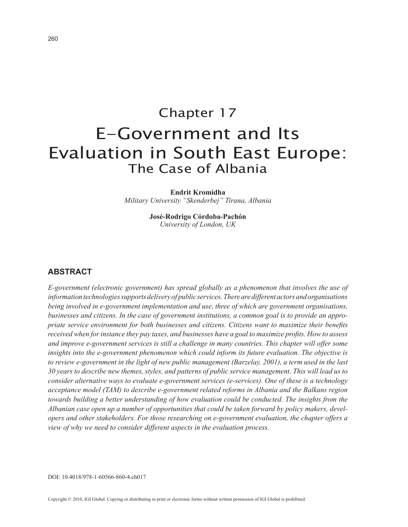# Chapter 17 E-Government and Its Evaluation in South East Europe: The Case of Albania

**Endrit Kromidha** *Military University "Skenderbej" Tirana, Albania*

> **José-Rodrigo Córdoba-Pachón** *University of London, UK*

## **ABSTRACT**

*E-government (electronic government) has spread globally as a phenomenon that involves the use of information technologies supports delivery of public services. There are different actors and organisations being involved in e-government implementation and use, three of which are government organisations, businesses and citizens. In the case of government institutions, a common goal is to provide an appropriate service environment for both businesses and citizens. Citizens want to maximize their benefits received when for instance they pay taxes, and businesses have a goal to maximize profits. How to assess and improve e-government services is still a challenge in many countries. This chapter will offer some insights into the e-government phenomenon which could inform its future evaluation. The objective is to review e-government in the light of new public management (Barzelay, 2001), a term used in the last 30 years to describe new themes, styles, and patterns of public service management. This will lead us to consider alternative ways to evaluate e-government services (e-services). One of these is a technology acceptance model (TAM) to describe e-government related reforms in Albania and the Balkans region towards building a better understanding of how evaluation could be conducted. The insights from the Albanian case open up a number of opportunities that could be taken forward by policy makers, developers and other stakeholders. For those researching on e-government evaluation, the chapter offers a view of why we need to consider different aspects in the evaluation process.*

DOI: 10.4018/978-1-60566-860-4.ch017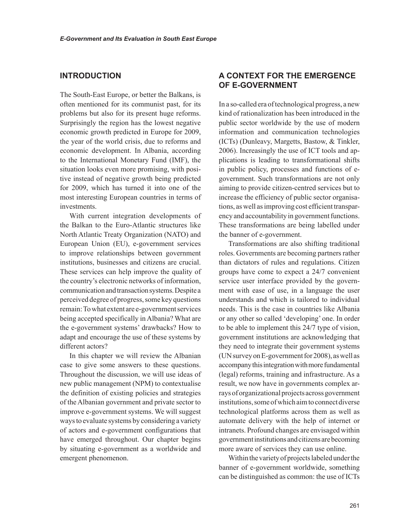## **INTRODUCTION**

The South-East Europe, or better the Balkans, is often mentioned for its communist past, for its problems but also for its present huge reforms. Surprisingly the region has the lowest negative economic growth predicted in Europe for 2009, the year of the world crisis, due to reforms and economic development. In Albania, according to the International Monetary Fund (IMF), the situation looks even more promising, with positive instead of negative growth being predicted for 2009, which has turned it into one of the most interesting European countries in terms of investments.

With current integration developments of the Balkan to the Euro-Atlantic structures like North Atlantic Treaty Organization (NATO) and European Union (EU), e-government services to improve relationships between government institutions, businesses and citizens are crucial. These services can help improve the quality of the country's electronic networks of information, communication and transaction systems. Despite a perceived degree of progress, some key questions remain: To what extent are e-government services being accepted specifically in Albania? What are the e-government systems' drawbacks? How to adapt and encourage the use of these systems by different actors?

In this chapter we will review the Albanian case to give some answers to these questions. Throughout the discussion, we will use ideas of new public management (NPM) to contextualise the definition of existing policies and strategies of the Albanian government and private sector to improve e-government systems. We will suggest ways to evaluate systems by considering a variety of actors and e-government configurations that have emerged throughout. Our chapter begins by situating e-government as a worldwide and emergent phenomenon.

# **A CONTEXT FOR THE EMERGENCE OF E-GOVERNMENT**

In a so-called era of technological progress, a new kind of rationalization has been introduced in the public sector worldwide by the use of modern information and communication technologies (ICTs) (Dunleavy, Margetts, Bastow, & Tinkler, 2006). Increasingly the use of ICT tools and applications is leading to transformational shifts in public policy, processes and functions of egovernment. Such transformations are not only aiming to provide citizen-centred services but to increase the efficiency of public sector organisations, as well as improving cost efficient transparency and accountability in government functions. These transformations are being labelled under the banner of e-government.

Transformations are also shifting traditional roles. Governments are becoming partners rather than dictators of rules and regulations. Citizen groups have come to expect a 24/7 convenient service user interface provided by the government with ease of use, in a language the user understands and which is tailored to individual needs. This is the case in countries like Albania or any other so called 'developing' one. In order to be able to implement this 24/7 type of vision, government institutions are acknowledging that they need to integrate their government systems (UN survey on E-government for 2008), as well as accompany this integration with more fundamental (legal) reforms, training and infrastructure. As a result, we now have in governments complex arrays of organizational projects across government institutions, some of which aim to connect diverse technological platforms across them as well as automate delivery with the help of internet or intranets. Profound changes are envisaged within government institutions and citizens are becoming more aware of services they can use online.

Within the variety of projects labeled under the banner of e-government worldwide, something can be distinguished as common: the use of ICTs